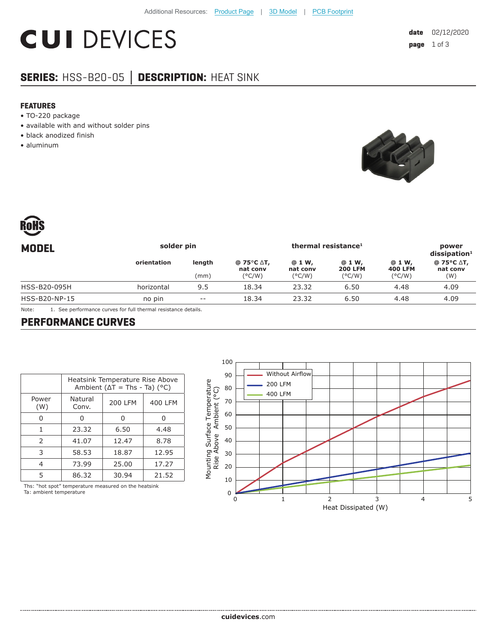# **CUI DEVICES**

## **SERIES:** HSS-B20-05 **│ DESCRIPTION:** HEAT SINK

#### **FEATURES**

- TO-220 package
- available with and without solder pins
- black anodized finish
- aluminum





| solder pin  |        | thermal resistance <sup>1</sup> |                    |                          | power<br>$dis$ sipation <sup>1</sup> |                               |
|-------------|--------|---------------------------------|--------------------|--------------------------|--------------------------------------|-------------------------------|
| orientation | length | @ 75°C ∆T,<br>nat conv          | @ 1 W,<br>nat conv | @ 1 W,<br><b>200 LFM</b> | @ 1 W,<br><b>400 LFM</b>             | @ 75°C ∆T,<br>nat conv<br>(W) |
| horizontal  | 9.5    | 18.34                           | 23.32              | 6.50                     | 4.48                                 | 4.09                          |
| no pin      | $- -$  | 18.34                           | 23.32              | 6.50                     | 4.48                                 | 4.09                          |
|             |        | (mm)                            | $(^{\circ}C/W)$    | $(^{\circ}$ C/W)         | $(^{\circ}C/W)$                      | $(^{\circ}C/W)$               |

Note: 1. See performance curves for full thermal resistance details.

#### **PERFORMANCE CURVES**

|               | Heatsink Temperature Rise Above<br>Ambient ( $\Delta T$ = Ths - Ta) (°C) |                |         |  |  |
|---------------|--------------------------------------------------------------------------|----------------|---------|--|--|
| Power<br>(W)  | Natural<br>Conv.                                                         | <b>200 LFM</b> | 400 LFM |  |  |
| 0             | Ω                                                                        | 0              | O       |  |  |
| 1             | 23.32                                                                    | 6.50           | 4.48    |  |  |
| $\mathcal{P}$ | 41.07                                                                    | 12.47          | 8.78    |  |  |
| 3             | 58.53                                                                    | 18.87          | 12.95   |  |  |
| 4             | 73.99                                                                    | 25.00          | 17.27   |  |  |
| 5             | 86.32                                                                    | 30.94          | 21.52   |  |  |
| $\cdots$      |                                                                          | .              |         |  |  |

Ths: "hot spot" temperature measured on the heatsink Ta: ambient temperature

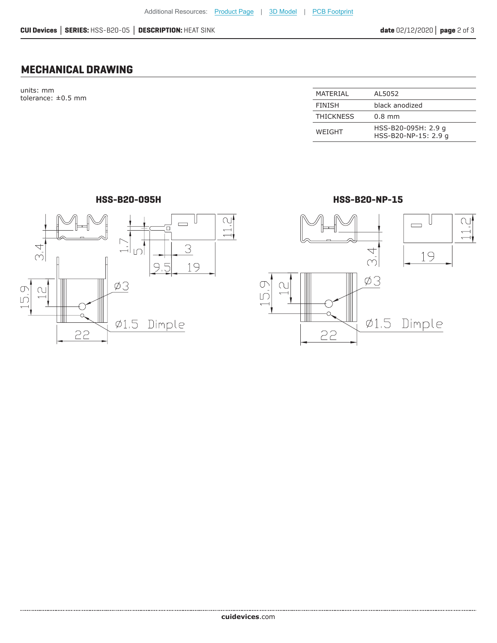### **MECHANICAL DRAWING**

units: mm tolerance: ±0.5 mm

| MATERIAL         | AL5052                                      |
|------------------|---------------------------------------------|
| <b>FINISH</b>    | black anodized                              |
| <b>THICKNESS</b> | $0.8$ mm                                    |
| WFIGHT           | HSS-B20-095H: 2.9 g<br>HSS-B20-NP-15: 2.9 g |



**HSS-B20-095H HSS-B20-NP-15**